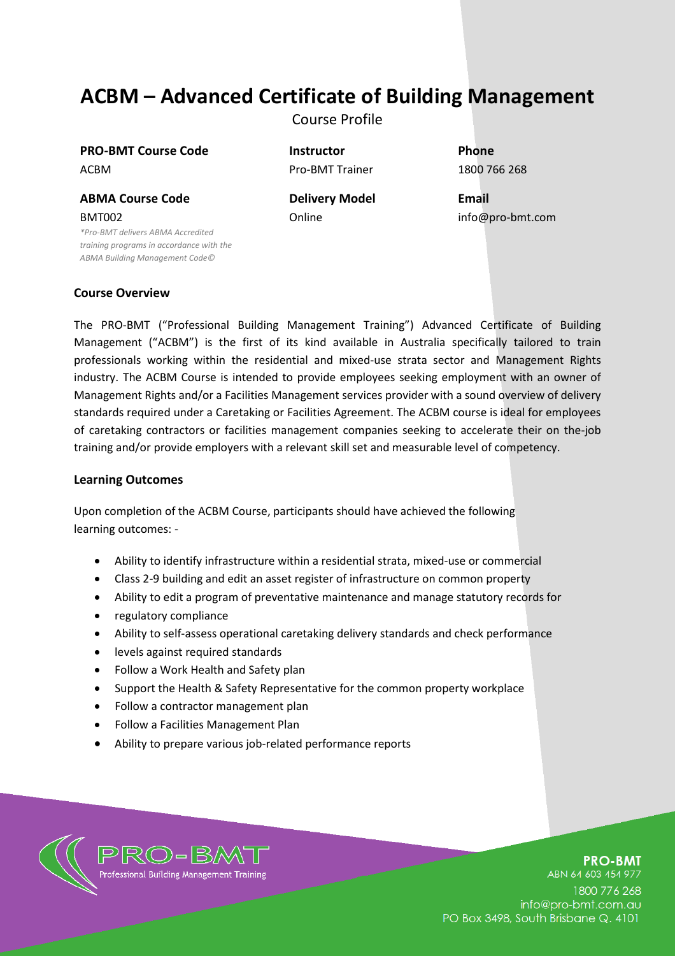# **ACBM – Advanced Certificate of Building Management**

Course Profile

**PRO-BMT Course Code Instructor Phone** ACBM **Pro-BMT Trainer** 1800 766 268

**ABMA Course Code Delivery Model Email** BMT002

*\*Pro-BMT delivers ABMA Accredited training programs in accordance with the ABMA Building Management Code©*

Online info@pro-bmt.com

### **Course Overview**

The PRO-BMT ("Professional Building Management Training") Advanced Certificate of Building Management ("ACBM") is the first of its kind available in Australia specifically tailored to train professionals working within the residential and mixed-use strata sector and Management Rights industry. The ACBM Course is intended to provide employees seeking employment with an owner of Management Rights and/or a Facilities Management services provider with a sound overview of delivery standards required under a Caretaking or Facilities Agreement. The ACBM course is ideal for employees of caretaking contractors or facilities management companies seeking to accelerate their on the-job training and/or provide employers with a relevant skill set and measurable level of competency.

#### **Learning Outcomes**

Upon completion of the ACBM Course, participants should have achieved the following learning outcomes: -

- Ability to identify infrastructure within a residential strata, mixed-use or commercial
- Class 2-9 building and edit an asset register of infrastructure on common property
- Ability to edit a program of preventative maintenance and manage statutory records for
- regulatory compliance
- Ability to self-assess operational caretaking delivery standards and check performance
- levels against required standards
- Follow a Work Health and Safety plan
- Support the Health & Safety Representative for the common property workplace
- Follow a contractor management plan
- Follow a Facilities Management Plan
- Ability to prepare various job-related performance reports



# **PRO-BMT**

ABN 64 603 454 977 1800 776 268 info@pro-bmt.com.au PO Box 3498, South Brisbane Q. 4101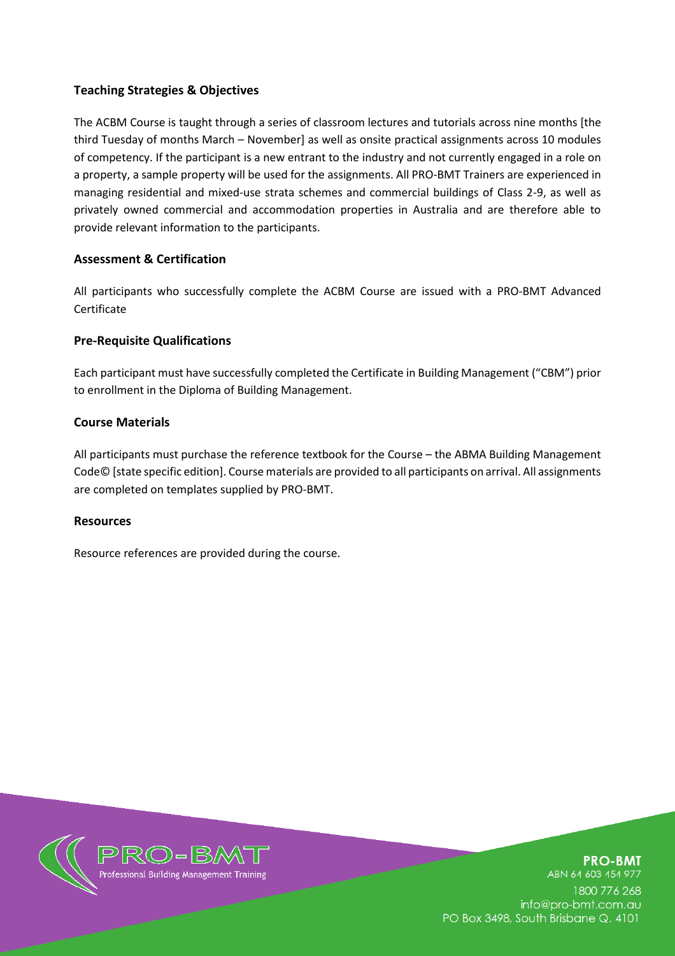# **Teaching Strategies & Objectives**

The ACBM Course is taught through a series of classroom lectures and tutorials across nine months [the third Tuesday of months March – November] as well as onsite practical assignments across 10 modules of competency. If the participant is a new entrant to the industry and not currently engaged in a role on a property, a sample property will be used for the assignments. All PRO-BMT Trainers are experienced in managing residential and mixed-use strata schemes and commercial buildings of Class 2-9, as well as privately owned commercial and accommodation properties in Australia and are therefore able to provide relevant information to the participants.

# **Assessment & Certification**

All participants who successfully complete the ACBM Course are issued with a PRO-BMT Advanced Certificate

# **Pre-Requisite Qualifications**

Each participant must have successfully completed the Certificate in Building Management ("CBM") prior to enrollment in the Diploma of Building Management.

### **Course Materials**

All participants must purchase the reference textbook for the Course – the ABMA Building Management Code© [state specific edition]. Course materials are provided to all participants on arrival. All assignments are completed on templates supplied by PRO-BMT.

#### **Resources**

Resource references are provided during the course.



**PRO-BMT** ABN 64 603 454 977 1800 776 268 info@pro-bmt.com.au PO Box 3498, South Brisbane Q. 4101